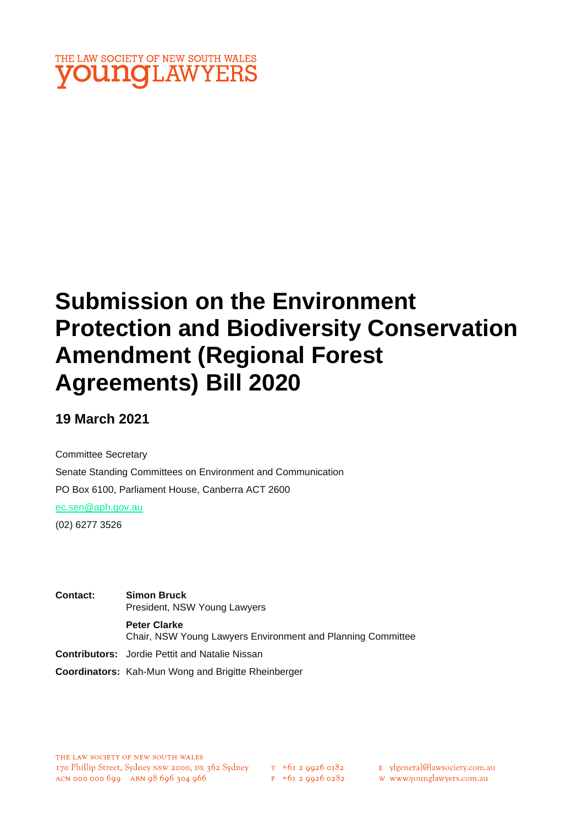

# **Submission on the Environment Protection and Biodiversity Conservation Amendment (Regional Forest Agreements) Bill 2020**

## **19 March 2021**

Committee Secretary Senate Standing Committees on Environment and Communication PO Box 6100, Parliament House, Canberra ACT 2600 [ec.sen@aph.gov.au](mailto:ec.sen@aph.gov.au)

(02) 6277 3526

**Contact: Simon Bruck** President, NSW Young Lawyers **Peter Clarke** Chair, NSW Young Lawyers Environment and Planning Committee **Contributors:** Jordie Pettit and Natalie Nissan

**Coordinators:** Kah-Mun Wong and Brigitte Rheinberger

 $F + 6I$  2 9926 0282

E ylgeneral@lawsociety.com.au

w www.younglawyers.com.au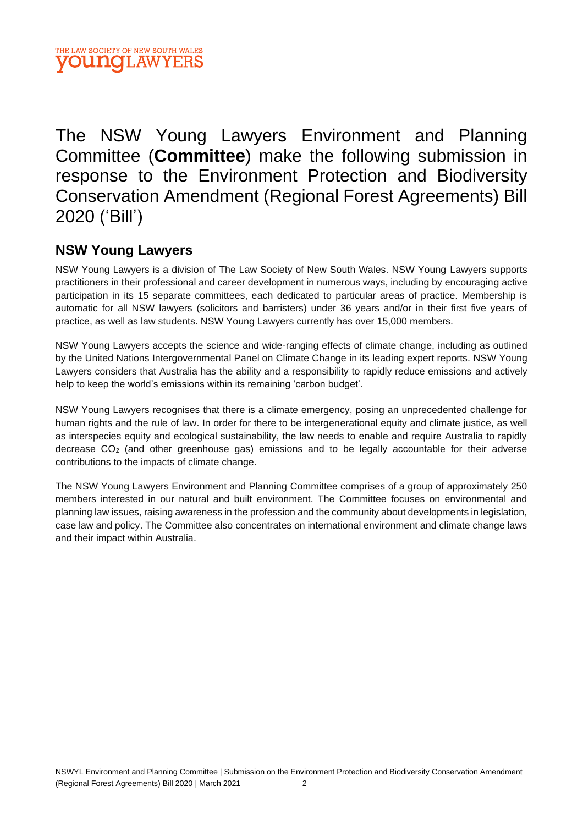The NSW Young Lawyers Environment and Planning Committee (**Committee**) make the following submission in response to the Environment Protection and Biodiversity Conservation Amendment (Regional Forest Agreements) Bill 2020 ('Bill')

## **NSW Young Lawyers**

NSW Young Lawyers is a division of The Law Society of New South Wales. NSW Young Lawyers supports practitioners in their professional and career development in numerous ways, including by encouraging active participation in its 15 separate committees, each dedicated to particular areas of practice. Membership is automatic for all NSW lawyers (solicitors and barristers) under 36 years and/or in their first five years of practice, as well as law students. NSW Young Lawyers currently has over 15,000 members.

NSW Young Lawyers accepts the science and wide-ranging effects of climate change, including as outlined by the United Nations Intergovernmental Panel on Climate Change in its leading expert reports. NSW Young Lawyers considers that Australia has the ability and a responsibility to rapidly reduce emissions and actively help to keep the world's emissions within its remaining 'carbon budget'.

NSW Young Lawyers recognises that there is a climate emergency, posing an unprecedented challenge for human rights and the rule of law. In order for there to be intergenerational equity and climate justice, as well as interspecies equity and ecological sustainability, the law needs to enable and require Australia to rapidly decrease CO<sup>2</sup> (and other greenhouse gas) emissions and to be legally accountable for their adverse contributions to the impacts of climate change.

The NSW Young Lawyers Environment and Planning Committee comprises of a group of approximately 250 members interested in our natural and built environment. The Committee focuses on environmental and planning law issues, raising awareness in the profession and the community about developments in legislation, case law and policy. The Committee also concentrates on international environment and climate change laws and their impact within Australia.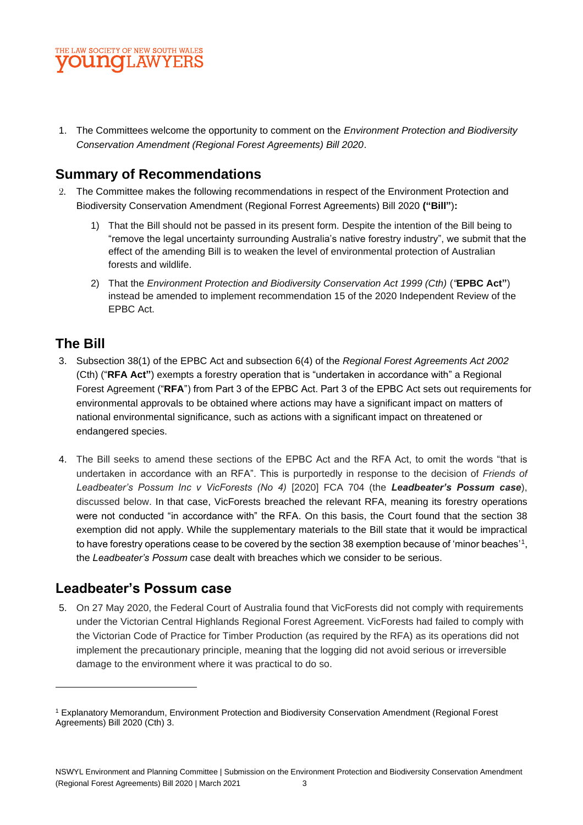

1. The Committees welcome the opportunity to comment on the *Environment Protection and Biodiversity Conservation Amendment (Regional Forest Agreements) Bill 2020*.

#### **Summary of Recommendations**

- 2. The Committee makes the following recommendations in respect of the Environment Protection and Biodiversity Conservation Amendment (Regional Forrest Agreements) Bill 2020 **("Bill"**)**:**
	- 1) That the Bill should not be passed in its present form. Despite the intention of the Bill being to "remove the legal uncertainty surrounding Australia's native forestry industry", we submit that the effect of the amending Bill is to weaken the level of environmental protection of Australian forests and wildlife.
	- 2) That the *Environment Protection and Biodiversity Conservation Act 1999 (Cth)* (*"***EPBC Act"**) instead be amended to implement recommendation 15 of the 2020 Independent Review of the EPBC Act.

### **The Bill**

- 3. Subsection 38(1) of the EPBC Act and subsection 6(4) of the *Regional Forest Agreements Act 2002* (Cth) ("**RFA Act"**) exempts a forestry operation that is "undertaken in accordance with" a Regional Forest Agreement ("**RFA**") from Part 3 of the EPBC Act. Part 3 of the EPBC Act sets out requirements for environmental approvals to be obtained where actions may have a significant impact on matters of national environmental significance, such as actions with a significant impact on threatened or endangered species.
- 4. The Bill seeks to amend these sections of the EPBC Act and the RFA Act, to omit the words "that is undertaken in accordance with an RFA". This is purportedly in response to the decision of *Friends of Leadbeater's Possum Inc v VicForests (No 4)* [2020] FCA 704 (the *Leadbeater's Possum case*), discussed below. In that case, VicForests breached the relevant RFA, meaning its forestry operations were not conducted "in accordance with" the RFA. On this basis, the Court found that the section 38 exemption did not apply. While the supplementary materials to the Bill state that it would be impractical to have forestry operations cease to be covered by the section 38 exemption because of 'minor beaches'1, the *Leadbeater's Possum* case dealt with breaches which we consider to be serious.

### **Leadbeater's Possum case**

5. On 27 May 2020, the Federal Court of Australia found that VicForests did not comply with requirements under the Victorian Central Highlands Regional Forest Agreement. VicForests had failed to comply with the Victorian Code of Practice for Timber Production (as required by the RFA) as its operations did not implement the precautionary principle, meaning that the logging did not avoid serious or irreversible damage to the environment where it was practical to do so.

<sup>1</sup> Explanatory Memorandum, Environment Protection and Biodiversity Conservation Amendment (Regional Forest Agreements) Bill 2020 (Cth) 3.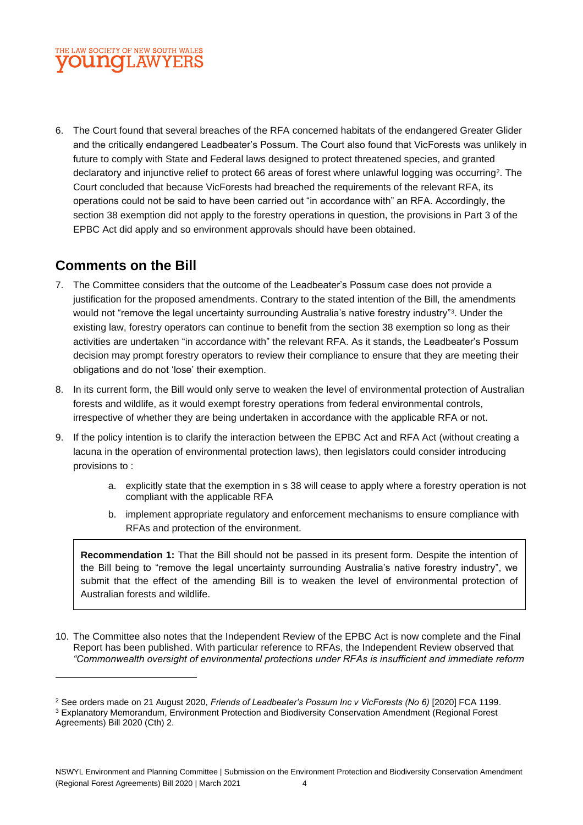#### THE LAW SOCIETY OF NEW SOUTH WALES **VOUNGLAWYERS**

6. The Court found that several breaches of the RFA concerned habitats of the endangered Greater Glider and the critically endangered Leadbeater's Possum. The Court also found that VicForests was unlikely in future to comply with State and Federal laws designed to protect threatened species, and granted declaratory and injunctive relief to protect 66 areas of forest where unlawful logging was occurring $^{\text{2}}$ . The Court concluded that because VicForests had breached the requirements of the relevant RFA, its operations could not be said to have been carried out "in accordance with" an RFA. Accordingly, the section 38 exemption did not apply to the forestry operations in question, the provisions in Part 3 of the EPBC Act did apply and so environment approvals should have been obtained.

## **Comments on the Bill**

- 7. The Committee considers that the outcome of the Leadbeater's Possum case does not provide a justification for the proposed amendments. Contrary to the stated intention of the Bill, the amendments would not "remove the legal uncertainty surrounding Australia's native forestry industry"<sup>3</sup> . Under the existing law, forestry operators can continue to benefit from the section 38 exemption so long as their activities are undertaken "in accordance with" the relevant RFA. As it stands, the Leadbeater's Possum decision may prompt forestry operators to review their compliance to ensure that they are meeting their obligations and do not 'lose' their exemption.
- 8. In its current form, the Bill would only serve to weaken the level of environmental protection of Australian forests and wildlife, as it would exempt forestry operations from federal environmental controls, irrespective of whether they are being undertaken in accordance with the applicable RFA or not.
- 9. If the policy intention is to clarify the interaction between the EPBC Act and RFA Act (without creating a lacuna in the operation of environmental protection laws), then legislators could consider introducing provisions to :
	- a. explicitly state that the exemption in s 38 will cease to apply where a forestry operation is not compliant with the applicable RFA
	- b. implement appropriate regulatory and enforcement mechanisms to ensure compliance with RFAs and protection of the environment.

**Recommendation 1:** That the Bill should not be passed in its present form. Despite the intention of the Bill being to "remove the legal uncertainty surrounding Australia's native forestry industry", we submit that the effect of the amending Bill is to weaken the level of environmental protection of Australian forests and wildlife.

10. The Committee also notes that the Independent Review of the EPBC Act is now complete and the Final Report has been published. With particular reference to RFAs, the Independent Review observed that *"Commonwealth oversight of environmental protections under RFAs is insufficient and immediate reform* 

<sup>2</sup> See orders made on 21 August 2020, *Friends of Leadbeater's Possum Inc v VicForests (No 6)* [2020] FCA 1199. <sup>3</sup> Explanatory Memorandum, Environment Protection and Biodiversity Conservation Amendment (Regional Forest

Agreements) Bill 2020 (Cth) 2.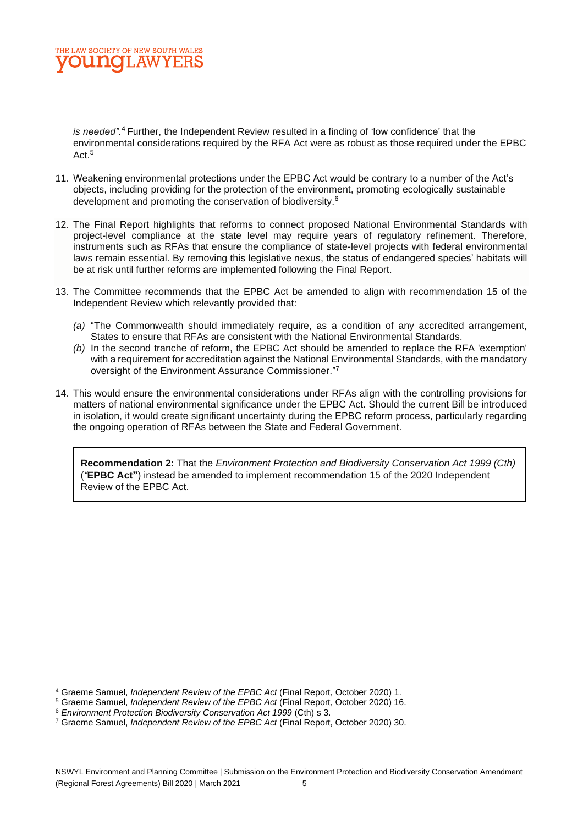

*is needed".* <sup>4</sup> Further, the Independent Review resulted in a finding of 'low confidence' that the environmental considerations required by the RFA Act were as robust as those required under the EPBC Act.<sup>5</sup>

- 11. Weakening environmental protections under the EPBC Act would be contrary to a number of the Act's objects, including providing for the protection of the environment, promoting ecologically sustainable development and promoting the conservation of biodiversity.<sup>6</sup>
- 12. The Final Report highlights that reforms to connect proposed National Environmental Standards with project-level compliance at the state level may require years of regulatory refinement. Therefore, instruments such as RFAs that ensure the compliance of state-level projects with federal environmental laws remain essential. By removing this legislative nexus, the status of endangered species' habitats will be at risk until further reforms are implemented following the Final Report.
- 13. The Committee recommends that the EPBC Act be amended to align with recommendation 15 of the Independent Review which relevantly provided that:
	- *(a)* "The Commonwealth should immediately require, as a condition of any accredited arrangement, States to ensure that RFAs are consistent with the National Environmental Standards.
	- *(b)* In the second tranche of reform, the EPBC Act should be amended to replace the RFA 'exemption' with a requirement for accreditation against the National Environmental Standards, with the mandatory oversight of the Environment Assurance Commissioner." 7
- 14. This would ensure the environmental considerations under RFAs align with the controlling provisions for matters of national environmental significance under the EPBC Act. Should the current Bill be introduced in isolation, it would create significant uncertainty during the EPBC reform process, particularly regarding the ongoing operation of RFAs between the State and Federal Government.

**Recommendation 2:** That the *Environment Protection and Biodiversity Conservation Act 1999 (Cth)*  (*"***EPBC Act"**) instead be amended to implement recommendation 15 of the 2020 Independent Review of the EPBC Act.

<sup>4</sup> Graeme Samuel, *Independent Review of the EPBC Act* (Final Report, October 2020) 1.

<sup>5</sup> Graeme Samuel, *Independent Review of the EPBC Act* (Final Report, October 2020) 16.

<sup>6</sup> *Environment Protection Biodiversity Conservation Act 1999* (Cth) s 3.

<sup>7</sup> Graeme Samuel, *Independent Review of the EPBC Act* (Final Report, October 2020) 30.